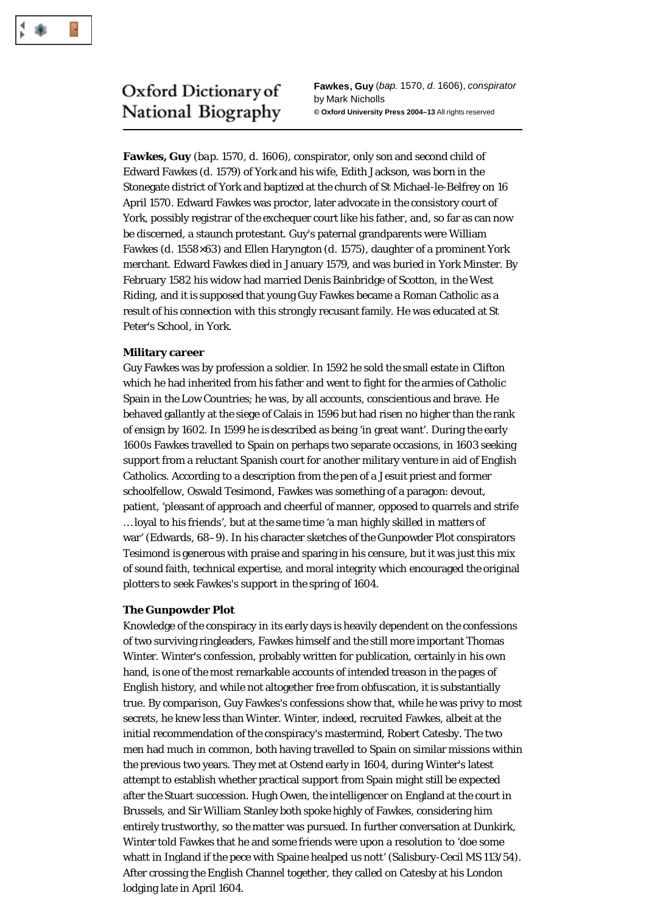

# Oxford Dictionary of National Biography

**Fawkes, Guy** (*bap.* 1570, *d.* 1606), *conspirator* by Mark Nicholls **© Oxford University Press 2004–13** All rights reserved

**Fawkes, Guy** (*bap.* 1570, *d.* 1606), conspirator, only son and second child of Edward Fawkes (*d*. 1579) of York and his wife, Edith Jackson, was born in the Stonegate district of York and baptized at the church of St Michael-le-Belfrey on 16 April 1570. Edward Fawkes was proctor, later advocate in the consistory court of York, possibly registrar of the exchequer court like his father, and, so far as can now be discerned, a staunch protestant. Guy's paternal grandparents were William Fawkes (*d*. 1558×63) and Ellen Haryngton (*d*. 1575), daughter of a prominent York merchant. Edward Fawkes died in January 1579, and was buried in York Minster. By February 1582 his widow had married Denis Bainbridge of Scotton, in the West Riding, and it is supposed that young Guy Fawkes became a Roman Catholic as a result of his connection with this strongly recusant family. He was educated at St Peter's School, in York.

# **Military career**

Guy Fawkes was by profession a soldier. In 1592 he sold the small estate in Clifton which he had inherited from his father and went to fight for the armies of Catholic Spain in the Low Countries; he was, by all accounts, conscientious and brave. He behaved gallantly at the siege of Calais in 1596 but had risen no higher than the rank of ensign by 1602. In 1599 he is described as being 'in great want'. During the early 1600s Fawkes travelled to Spain on perhaps two separate occasions, in 1603 seeking support from a reluctant Spanish court for another military venture in aid of English Catholics. According to a description from the pen of a Jesuit priest and former schoolfellow, Oswald Tesimond, Fawkes was something of a paragon: devout, patient, 'pleasant of approach and cheerful of manner, opposed to quarrels and strife … loyal to his friends', but at the same time 'a man highly skilled in matters of war' (Edwards, 68–9). In his character sketches of the Gunpowder Plot conspirators Tesimond is generous with praise and sparing in his censure, but it was just this mix of sound faith, technical expertise, and moral integrity which encouraged the original plotters to seek Fawkes's support in the spring of 1604.

# **The Gunpowder Plot**

Knowledge of the conspiracy in its early days is heavily dependent on the confessions of two surviving ringleaders, Fawkes himself and the still more important Thomas Winter. Winter's confession, probably written for publication, certainly in his own hand, is one of the most remarkable accounts of intended treason in the pages of English history, and while not altogether free from obfuscation, it is substantially true. By comparison, Guy Fawkes's confessions show that, while he was privy to most secrets, he knew less than Winter. Winter, indeed, recruited Fawkes, albeit at the initial recommendation of the conspiracy's mastermind, Robert Catesby. The two men had much in common, both having travelled to Spain on similar missions within the previous two years. They met at Ostend early in 1604, during Winter's latest attempt to establish whether practical support from Spain might still be expected after the Stuart succession. Hugh Owen, the intelligencer on England at the court in Brussels, and Sir William Stanley both spoke highly of Fawkes, considering him entirely trustworthy, so the matter was pursued. In further conversation at Dunkirk, Winter told Fawkes that he and some friends were upon a resolution to 'doe some whatt in Ingland if the pece with Spaine healped us nott' (Salisbury-Cecil MS 113/54). After crossing the English Channel together, they called on Catesby at his London lodging late in April 1604.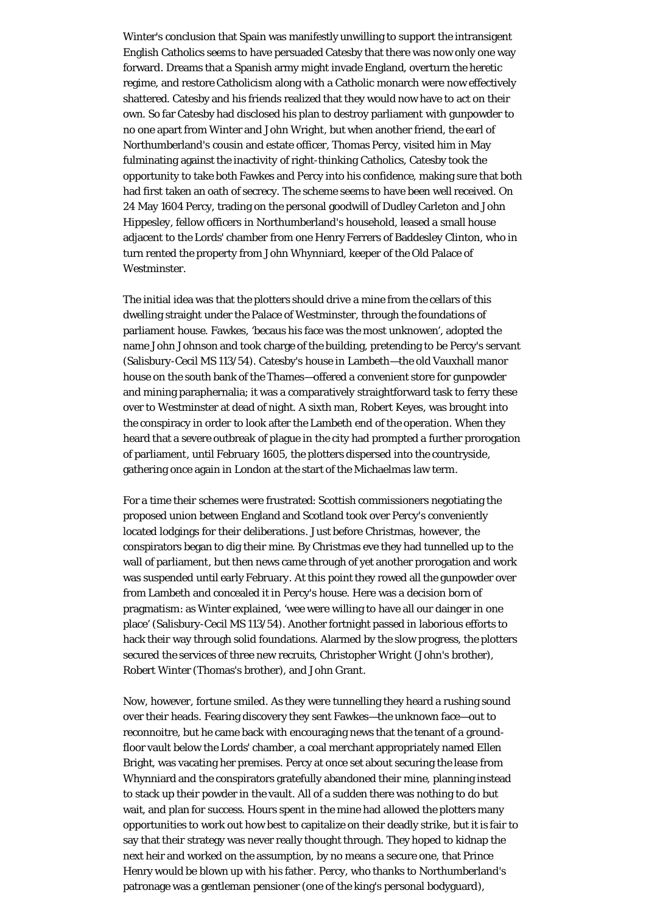Winter's conclusion that Spain was manifestly unwilling to support the intransigent English Catholics seems to have persuaded Catesby that there was now only one way forward. Dreams that a Spanish army might invade England, overturn the heretic regime, and restore Catholicism along with a Catholic monarch were now effectively shattered. Catesby and his friends realized that they would now have to act on their own. So far Catesby had disclosed his plan to destroy parliament with gunpowder to no one apart from Winter and John Wright, but when another friend, the earl of Northumberland's cousin and estate officer, Thomas Percy, visited him in May fulminating against the inactivity of right-thinking Catholics, Catesby took the opportunity to take both Fawkes and Percy into his confidence, making sure that both had first taken an oath of secrecy. The scheme seems to have been well received. On 24 May 1604 Percy, trading on the personal goodwill of Dudley Carleton and John Hippesley, fellow officers in Northumberland's household, leased a small house adjacent to the Lords' chamber from one Henry Ferrers of Baddesley Clinton, who in turn rented the property from John Whynniard, keeper of the Old Palace of Westminster.

The initial idea was that the plotters should drive a mine from the cellars of this dwelling straight under the Palace of Westminster, through the foundations of parliament house. Fawkes, 'becaus his face was the most unknowen', adopted the name John Johnson and took charge of the building, pretending to be Percy's servant (Salisbury-Cecil MS 113/54). Catesby's house in Lambeth—the old Vauxhall manor house on the south bank of the Thames—offered a convenient store for gunpowder and mining paraphernalia; it was a comparatively straightforward task to ferry these over to Westminster at dead of night. A sixth man, Robert Keyes, was brought into the conspiracy in order to look after the Lambeth end of the operation. When they heard that a severe outbreak of plague in the city had prompted a further prorogation of parliament, until February 1605, the plotters dispersed into the countryside, gathering once again in London at the start of the Michaelmas law term.

For a time their schemes were frustrated: Scottish commissioners negotiating the proposed union between England and Scotland took over Percy's conveniently located lodgings for their deliberations. Just before Christmas, however, the conspirators began to dig their mine. By Christmas eve they had tunnelled up to the wall of parliament, but then news came through of yet another prorogation and work was suspended until early February. At this point they rowed all the gunpowder over from Lambeth and concealed it in Percy's house. Here was a decision born of pragmatism: as Winter explained, 'wee were willing to have all our dainger in one place' (Salisbury-Cecil MS 113/54). Another fortnight passed in laborious efforts to hack their way through solid foundations. Alarmed by the slow progress, the plotters secured the services of three new recruits, Christopher Wright (John's brother), Robert Winter (Thomas's brother), and John Grant.

Now, however, fortune smiled. As they were tunnelling they heard a rushing sound over their heads. Fearing discovery they sent Fawkes—the unknown face—out to reconnoitre, but he came back with encouraging news that the tenant of a groundfloor vault below the Lords' chamber, a coal merchant appropriately named Ellen Bright, was vacating her premises. Percy at once set about securing the lease from Whynniard and the conspirators gratefully abandoned their mine, planning instead to stack up their powder in the vault. All of a sudden there was nothing to do but wait, and plan for success. Hours spent in the mine had allowed the plotters many opportunities to work out how best to capitalize on their deadly strike, but it is fair to say that their strategy was never really thought through. They hoped to kidnap the next heir and worked on the assumption, by no means a secure one, that Prince Henry would be blown up with his father. Percy, who thanks to Northumberland's patronage was a gentleman pensioner (one of the king's personal bodyguard),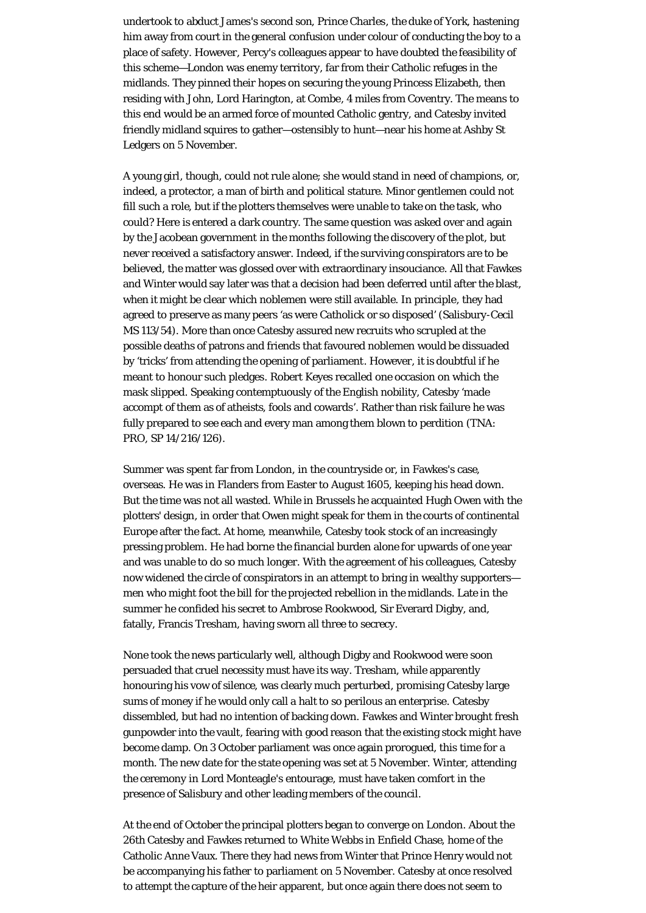undertook to abduct James's second son, Prince Charles, the duke of York, hastening him away from court in the general confusion under colour of conducting the boy to a place of safety. However, Percy's colleagues appear to have doubted the feasibility of this scheme—London was enemy territory, far from their Catholic refuges in the midlands. They pinned their hopes on securing the young Princess Elizabeth, then residing with John, Lord Harington, at Combe, 4 miles from Coventry. The means to this end would be an armed force of mounted Catholic gentry, and Catesby invited friendly midland squires to gather—ostensibly to hunt—near his home at Ashby St Ledgers on 5 November.

A young girl, though, could not rule alone; she would stand in need of champions, or, indeed, a protector, a man of birth and political stature. Minor gentlemen could not fill such a role, but if the plotters themselves were unable to take on the task, who could? Here is entered a dark country. The same question was asked over and again by the Jacobean government in the months following the discovery of the plot, but never received a satisfactory answer. Indeed, if the surviving conspirators are to be believed, the matter was glossed over with extraordinary insouciance. All that Fawkes and Winter would say later was that a decision had been deferred until after the blast, when it might be clear which noblemen were still available. In principle, they had agreed to preserve as many peers 'as were Catholick or so disposed' (Salisbury-Cecil MS 113/54). More than once Catesby assured new recruits who scrupled at the possible deaths of patrons and friends that favoured noblemen would be dissuaded by 'tricks' from attending the opening of parliament. However, it is doubtful if he meant to honour such pledges. Robert Keyes recalled one occasion on which the mask slipped. Speaking contemptuously of the English nobility, Catesby 'made accompt of them as of atheists, fools and cowards'. Rather than risk failure he was fully prepared to see each and every man among them blown to perdition (TNA: PRO, SP 14/216/126).

Summer was spent far from London, in the countryside or, in Fawkes's case, overseas. He was in Flanders from Easter to August 1605, keeping his head down. But the time was not all wasted. While in Brussels he acquainted Hugh Owen with the plotters' design, in order that Owen might speak for them in the courts of continental Europe after the fact. At home, meanwhile, Catesby took stock of an increasingly pressing problem. He had borne the financial burden alone for upwards of one year and was unable to do so much longer. With the agreement of his colleagues, Catesby now widened the circle of conspirators in an attempt to bring in wealthy supporters men who might foot the bill for the projected rebellion in the midlands. Late in the summer he confided his secret to Ambrose Rookwood, Sir Everard Digby, and, fatally, Francis Tresham, having sworn all three to secrecy.

None took the news particularly well, although Digby and Rookwood were soon persuaded that cruel necessity must have its way. Tresham, while apparently honouring his vow of silence, was clearly much perturbed, promising Catesby large sums of money if he would only call a halt to so perilous an enterprise. Catesby dissembled, but had no intention of backing down. Fawkes and Winter brought fresh gunpowder into the vault, fearing with good reason that the existing stock might have become damp. On 3 October parliament was once again prorogued, this time for a month. The new date for the state opening was set at 5 November. Winter, attending the ceremony in Lord Monteagle's entourage, must have taken comfort in the presence of Salisbury and other leading members of the council.

At the end of October the principal plotters began to converge on London. About the 26th Catesby and Fawkes returned to White Webbs in Enfield Chase, home of the Catholic Anne Vaux. There they had news from Winter that Prince Henry would not be accompanying his father to parliament on 5 November. Catesby at once resolved to attempt the capture of the heir apparent, but once again there does not seem to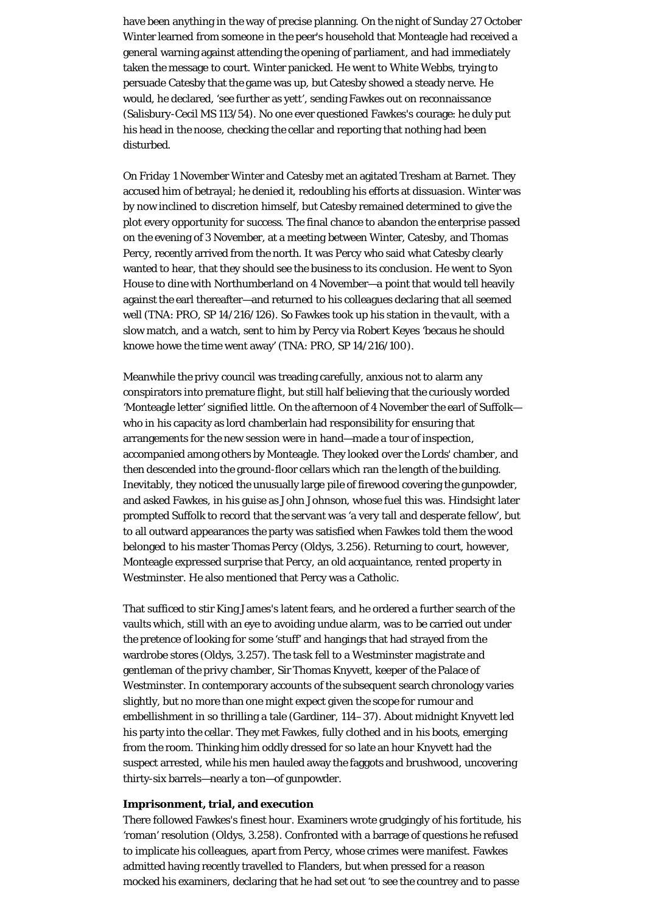have been anything in the way of precise planning. On the night of Sunday 27 October Winter learned from someone in the peer's household that Monteagle had received a general warning against attending the opening of parliament, and had immediately taken the message to court. Winter panicked. He went to White Webbs, trying to persuade Catesby that the game was up, but Catesby showed a steady nerve. He would, he declared, 'see further as yett', sending Fawkes out on reconnaissance (Salisbury-Cecil MS 113/54). No one ever questioned Fawkes's courage: he duly put his head in the noose, checking the cellar and reporting that nothing had been disturbed.

On Friday 1 November Winter and Catesby met an agitated Tresham at Barnet. They accused him of betrayal; he denied it, redoubling his efforts at dissuasion. Winter was by now inclined to discretion himself, but Catesby remained determined to give the plot every opportunity for success. The final chance to abandon the enterprise passed on the evening of 3 November, at a meeting between Winter, Catesby, and Thomas Percy, recently arrived from the north. It was Percy who said what Catesby clearly wanted to hear, that they should see the business to its conclusion. He went to Syon House to dine with Northumberland on 4 November—a point that would tell heavily against the earl thereafter—and returned to his colleagues declaring that all seemed well (TNA: PRO, SP 14/216/126). So Fawkes took up his station in the vault, with a slow match, and a watch, sent to him by Percy via Robert Keyes 'becaus he should knowe howe the time went away' (TNA: PRO, SP 14/216/100).

Meanwhile the privy council was treading carefully, anxious not to alarm any conspirators into premature flight, but still half believing that the curiously worded 'Monteagle letter' signified little. On the afternoon of 4 November the earl of Suffolk who in his capacity as lord chamberlain had responsibility for ensuring that arrangements for the new session were in hand—made a tour of inspection, accompanied among others by Monteagle. They looked over the Lords' chamber, and then descended into the ground-floor cellars which ran the length of the building. Inevitably, they noticed the unusually large pile of firewood covering the gunpowder, and asked Fawkes, in his guise as John Johnson, whose fuel this was. Hindsight later prompted Suffolk to record that the servant was 'a very tall and desperate fellow', but to all outward appearances the party was satisfied when Fawkes told them the wood belonged to his master Thomas Percy (Oldys, 3.256). Returning to court, however, Monteagle expressed surprise that Percy, an old acquaintance, rented property in Westminster. He also mentioned that Percy was a Catholic.

That sufficed to stir King James's latent fears, and he ordered a further search of the vaults which, still with an eye to avoiding undue alarm, was to be carried out under the pretence of looking for some 'stuff' and hangings that had strayed from the wardrobe stores (Oldys, 3.257). The task fell to a Westminster magistrate and gentleman of the privy chamber, Sir Thomas Knyvett, keeper of the Palace of Westminster. In contemporary accounts of the subsequent search chronology varies slightly, but no more than one might expect given the scope for rumour and embellishment in so thrilling a tale (Gardiner, 114–37). About midnight Knyvett led his party into the cellar. They met Fawkes, fully clothed and in his boots, emerging from the room. Thinking him oddly dressed for so late an hour Knyvett had the suspect arrested, while his men hauled away the faggots and brushwood, uncovering thirty-six barrels—nearly a ton—of gunpowder.

### **Imprisonment, trial, and execution**

There followed Fawkes's finest hour. Examiners wrote grudgingly of his fortitude, his 'roman' resolution (Oldys, 3.258). Confronted with a barrage of questions he refused to implicate his colleagues, apart from Percy, whose crimes were manifest. Fawkes admitted having recently travelled to Flanders, but when pressed for a reason mocked his examiners, declaring that he had set out 'to see the countrey and to passe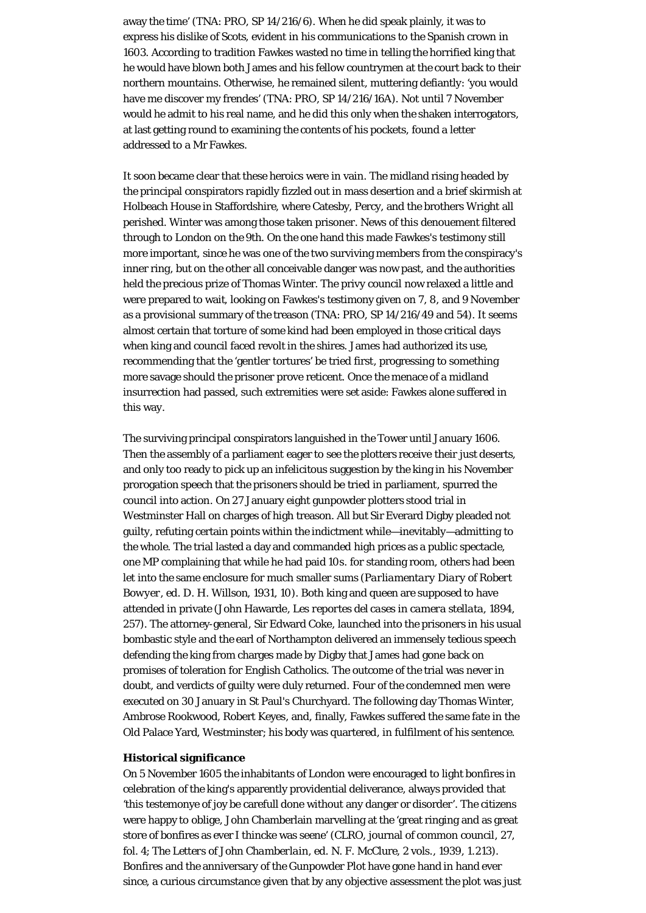away the time' (TNA: PRO, SP 14/216/6). When he did speak plainly, it was to express his dislike of Scots, evident in his communications to the Spanish crown in 1603. According to tradition Fawkes wasted no time in telling the horrified king that he would have blown both James and his fellow countrymen at the court back to their northern mountains. Otherwise, he remained silent, muttering defiantly: 'you would have me discover my frendes' (TNA: PRO, SP 14/216/16A). Not until 7 November would he admit to his real name, and he did this only when the shaken interrogators, at last getting round to examining the contents of his pockets, found a letter addressed to a Mr Fawkes.

It soon became clear that these heroics were in vain. The midland rising headed by the principal conspirators rapidly fizzled out in mass desertion and a brief skirmish at Holbeach House in Staffordshire, where Catesby, Percy, and the brothers Wright all perished. Winter was among those taken prisoner. News of this denouement filtered through to London on the 9th. On the one hand this made Fawkes's testimony still more important, since he was one of the two surviving members from the conspiracy's inner ring, but on the other all conceivable danger was now past, and the authorities held the precious prize of Thomas Winter. The privy council now relaxed a little and were prepared to wait, looking on Fawkes's testimony given on 7, 8, and 9 November as a provisional summary of the treason (TNA: PRO, SP 14/216/49 and 54). It seems almost certain that torture of some kind had been employed in those critical days when king and council faced revolt in the shires. James had authorized its use, recommending that the 'gentler tortures' be tried first, progressing to something more savage should the prisoner prove reticent. Once the menace of a midland insurrection had passed, such extremities were set aside: Fawkes alone suffered in this way.

The surviving principal conspirators languished in the Tower until January 1606. Then the assembly of a parliament eager to see the plotters receive their just deserts, and only too ready to pick up an infelicitous suggestion by the king in his November prorogation speech that the prisoners should be tried in parliament, spurred the council into action. On 27 January eight gunpowder plotters stood trial in Westminster Hall on charges of high treason. All but Sir Everard Digby pleaded not guilty, refuting certain points within the indictment while—inevitably—admitting to the whole. The trial lasted a day and commanded high prices as a public spectacle, one MP complaining that while he had paid 10*s*. for standing room, others had been let into the same enclosure for much smaller sums (*Parliamentary Diary of Robert Bowyer*, ed. D. H. Willson, 1931, 10). Both king and queen are supposed to have attended in private (John Hawarde, *Les reportes del cases in camera stellata*, 1894, 257). The attorney-general, Sir Edward Coke, launched into the prisoners in his usual bombastic style and the earl of Northampton delivered an immensely tedious speech defending the king from charges made by Digby that James had gone back on promises of toleration for English Catholics. The outcome of the trial was never in doubt, and verdicts of guilty were duly returned. Four of the condemned men were executed on 30 January in St Paul's Churchyard. The following day Thomas Winter, Ambrose Rookwood, Robert Keyes, and, finally, Fawkes suffered the same fate in the Old Palace Yard, Westminster; his body was quartered, in fulfilment of his sentence.

# **Historical significance**

On 5 November 1605 the inhabitants of London were encouraged to light bonfires in celebration of the king's apparently providential deliverance, always provided that 'this testemonye of joy be carefull done without any danger or disorder'. The citizens were happy to oblige, John Chamberlain marvelling at the 'great ringing and as great store of bonfires as ever I thincke was seene' (CLRO, journal of common council, 27, fol. 4; *The Letters of John Chamberlain*, ed. N. F. McClure, 2 vols., 1939, 1.213). Bonfires and the anniversary of the Gunpowder Plot have gone hand in hand ever since, a curious circumstance given that by any objective assessment the plot was just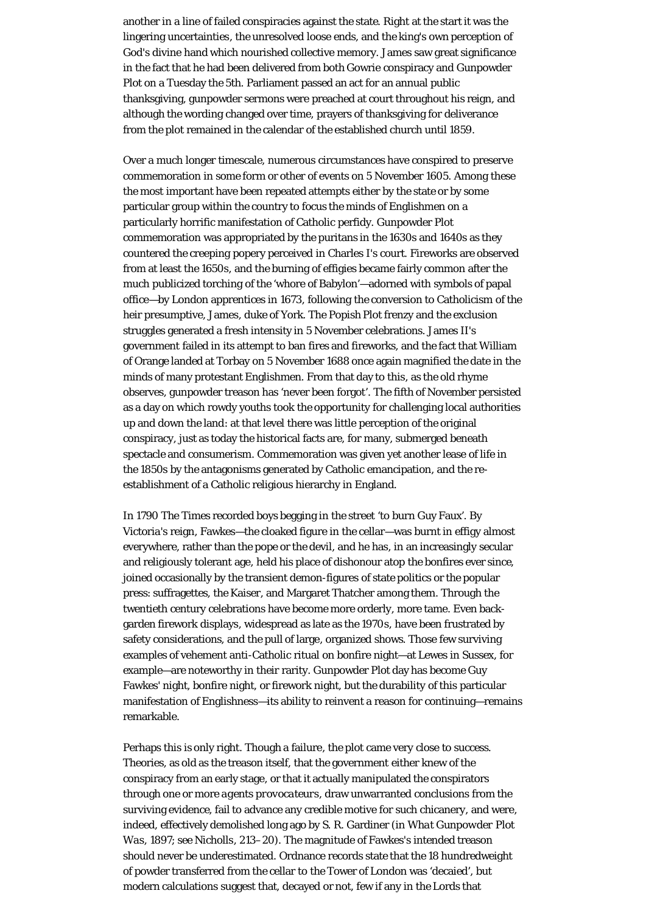another in a line of failed conspiracies against the state. Right at the start it was the lingering uncertainties, the unresolved loose ends, and the king's own perception of God's divine hand which nourished collective memory. James saw great significance in the fact that he had been delivered from both Gowrie conspiracy and Gunpowder Plot on a Tuesday the 5th. Parliament passed an act for an annual public thanksgiving, gunpowder sermons were preached at court throughout his reign, and although the wording changed over time, prayers of thanksgiving for deliverance from the plot remained in the calendar of the established church until 1859.

Over a much longer timescale, numerous circumstances have conspired to preserve commemoration in some form or other of events on 5 November 1605. Among these the most important have been repeated attempts either by the state or by some particular group within the country to focus the minds of Englishmen on a particularly horrific manifestation of Catholic perfidy. Gunpowder Plot commemoration was appropriated by the puritans in the 1630s and 1640s as they countered the creeping popery perceived in Charles I's court. Fireworks are observed from at least the 1650s, and the burning of effigies became fairly common after the much publicized torching of the 'whore of Babylon'—adorned with symbols of papal office—by London apprentices in 1673, following the conversion to Catholicism of the heir presumptive, James, duke of York. The Popish Plot frenzy and the exclusion struggles generated a fresh intensity in 5 November celebrations. James II's government failed in its attempt to ban fires and fireworks, and the fact that William of Orange landed at Torbay on 5 November 1688 once again magnified the date in the minds of many protestant Englishmen. From that day to this, as the old rhyme observes, gunpowder treason has 'never been forgot'. The fifth of November persisted as a day on which rowdy youths took the opportunity for challenging local authorities up and down the land: at that level there was little perception of the original conspiracy, just as today the historical facts are, for many, submerged beneath spectacle and consumerism. Commemoration was given yet another lease of life in the 1850s by the antagonisms generated by Catholic emancipation, and the reestablishment of a Catholic religious hierarchy in England.

In 1790 *The Times* recorded boys begging in the street 'to burn Guy Faux'. By Victoria's reign, Fawkes—the cloaked figure in the cellar—was burnt in effigy almost everywhere, rather than the pope or the devil, and he has, in an increasingly secular and religiously tolerant age, held his place of dishonour atop the bonfires ever since, joined occasionally by the transient demon-figures of state politics or the popular press: suffragettes, the Kaiser, and Margaret Thatcher among them. Through the twentieth century celebrations have become more orderly, more tame. Even backgarden firework displays, widespread as late as the 1970s, have been frustrated by safety considerations, and the pull of large, organized shows. Those few surviving examples of vehement anti-Catholic ritual on bonfire night—at Lewes in Sussex, for example—are noteworthy in their rarity. Gunpowder Plot day has become Guy Fawkes' night, bonfire night, or firework night, but the durability of this particular manifestation of Englishness—its ability to reinvent a reason for continuing—remains remarkable.

Perhaps this is only right. Though a failure, the plot came very close to success. Theories, as old as the treason itself, that the government either knew of the conspiracy from an early stage, or that it actually manipulated the conspirators through one or more *agents provocateurs*, draw unwarranted conclusions from the surviving evidence, fail to advance any credible motive for such chicanery, and were, indeed, effectively demolished long ago by S. R. Gardiner (in *What Gunpowder Plot Was*, 1897; see Nicholls, 213–20). The magnitude of Fawkes's intended treason should never be underestimated. Ordnance records state that the 18 hundredweight of powder transferred from the cellar to the Tower of London was 'decaied', but modern calculations suggest that, decayed or not, few if any in the Lords that